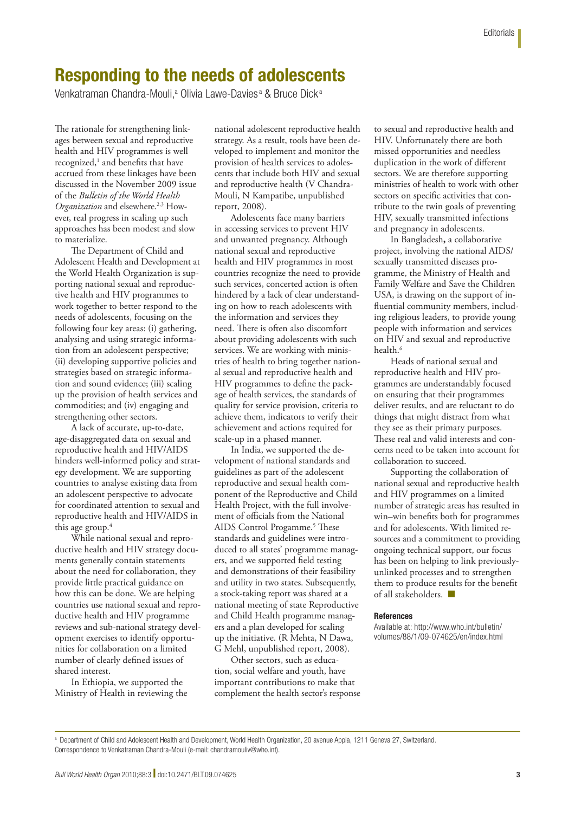## Responding to the needs of adolescents

Venkatraman Chandra-Mouli,<sup>a</sup> Olivia Lawe-Davies<sup>a</sup> & Bruce Dick<sup>a</sup>

The rationale for strengthening linkages between sexual and reproductive health and HIV programmes is well recognized,<sup>1</sup> and benefits that have accrued from these linkages have been discussed in the November 2009 issue of the *Bulletin of the World Health Organization* and elsewhere.2,3 However, real progress in scaling up such approaches has been modest and slow to materialize.

The Department of Child and Adolescent Health and Development at the World Health Organization is supporting national sexual and reproductive health and HIV programmes to work together to better respond to the needs of adolescents, focusing on the following four key areas: (i) gathering, analysing and using strategic information from an adolescent perspective; (ii) developing supportive policies and strategies based on strategic information and sound evidence; (iii) scaling up the provision of health services and commodities; and (iv) engaging and strengthening other sectors.

A lack of accurate, up-to-date, age-disaggregated data on sexual and reproductive health and HIV/AIDS hinders well-informed policy and strategy development. We are supporting countries to analyse existing data from an adolescent perspective to advocate for coordinated attention to sexual and reproductive health and HIV/AIDS in this age group. $4$ 

While national sexual and reproductive health and HIV strategy documents generally contain statements about the need for collaboration, they provide little practical guidance on how this can be done. We are helping countries use national sexual and reproductive health and HIV programme reviews and sub-national strategy development exercises to identify opportunities for collaboration on a limited number of clearly defined issues of shared interest.

In Ethiopia, we supported the Ministry of Health in reviewing the national adolescent reproductive health strategy. As a result, tools have been developed to implement and monitor the provision of health services to adolescents that include both HIV and sexual and reproductive health (V Chandra-Mouli, N Kampatibe, unpublished report, 2008).

Adolescents face many barriers in accessing services to prevent HIV and unwanted pregnancy. Although national sexual and reproductive health and HIV programmes in most countries recognize the need to provide such services, concerted action is often hindered by a lack of clear understanding on how to reach adolescents with the information and services they need. There is often also discomfort about providing adolescents with such services. We are working with ministries of health to bring together national sexual and reproductive health and HIV programmes to define the package of health services, the standards of quality for service provision, criteria to achieve them, indicators to verify their achievement and actions required for scale-up in a phased manner.

In India, we supported the development of national standards and guidelines as part of the adolescent reproductive and sexual health component of the Reproductive and Child Health Project, with the full involvement of officials from the National AIDS Control Progamme.<sup>5</sup> These standards and guidelines were introduced to all states' programme managers, and we supported field testing and demonstrations of their feasibility and utility in two states. Subsequently, a stock-taking report was shared at a national meeting of state Reproductive and Child Health programme managers and a plan developed for scaling up the initiative. (R Mehta, N Dawa, G Mehl, unpublished report, 2008).

Other sectors, such as education, social welfare and youth, have important contributions to make that complement the health sector's response to sexual and reproductive health and HIV. Unfortunately there are both missed opportunities and needless duplication in the work of different sectors. We are therefore supporting ministries of health to work with other sectors on specific activities that contribute to the twin goals of preventing HIV, sexually transmitted infections and pregnancy in adolescents.

In Bangladesh**,** a collaborative project, involving the national AIDS/ sexually transmitted diseases programme, the Ministry of Health and Family Welfare and Save the Children USA, is drawing on the support of influential community members, including religious leaders, to provide young people with information and services on HIV and sexual and reproductive health.<sup>6</sup>

Heads of national sexual and reproductive health and HIV programmes are understandably focused on ensuring that their programmes deliver results, and are reluctant to do things that might distract from what they see as their primary purposes. These real and valid interests and concerns need to be taken into account for collaboration to succeed.

Supporting the collaboration of national sexual and reproductive health and HIV programmes on a limited number of strategic areas has resulted in win–win benefits both for programmes and for adolescents. With limited resources and a commitment to providing ongoing technical support, our focus has been on helping to link previouslyunlinked processes and to strengthen them to produce results for the benefit of all stakeholders. ■

## References

Available at: http://www.who.int/bulletin/ volumes/88/1/09-074625/en/index.html

<sup>a</sup> Department of Child and Adolescent Health and Development, World Health Organization, 20 avenue Appia, 1211 Geneva 27, Switzerland. Correspondence to Venkatraman Chandra-Mouli (e-mail: chandramouliv@who.int).